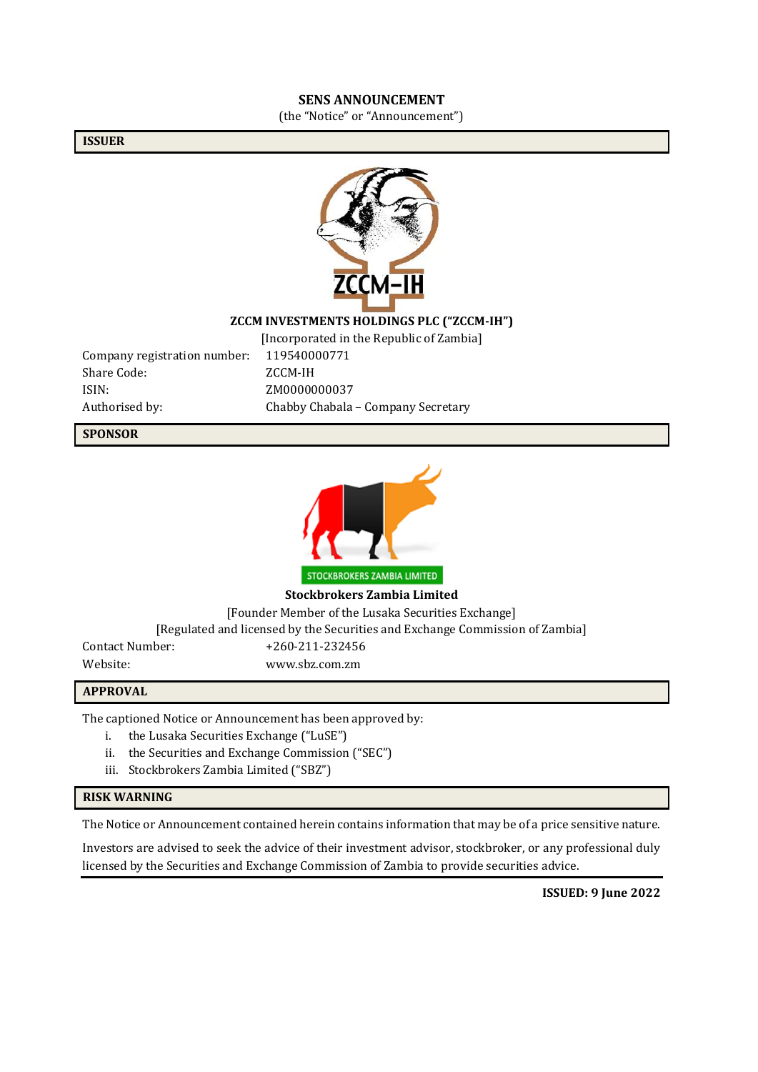#### **SENS ANNOUNCEMENT**

(the "Notice" or "Announcement")

**ISSUER**



#### **ZCCM INVESTMENTS HOLDINGS PLC ("ZCCM-IH")**

Company registration number: 119540000771 Share Code: ZCCM-IH ISIN: ZM0000000037

[Incorporated in the Republic of Zambia] Authorised by: Chabby Chabala – Company Secretary

**SPONSOR**



**Stockbrokers Zambia Limited**

[Founder Member of the Lusaka Securities Exchange]

[Regulated and licensed by the Securities and Exchange Commission of Zambia]

Contact Number: +260-211-232456 Website: www.sbz.com.zm

#### **APPROVAL**

The captioned Notice or Announcement has been approved by:

- i. the Lusaka Securities Exchange ("LuSE")
- ii. the Securities and Exchange Commission ("SEC")
- iii. Stockbrokers Zambia Limited ("SBZ")

#### **RISK WARNING**

The Notice or Announcement contained herein contains information that may be of a price sensitive nature.

Investors are advised to seek the advice of their investment advisor, stockbroker, or any professional duly licensed by the Securities and Exchange Commission of Zambia to provide securities advice.

**ISSUED: 9 June 2022**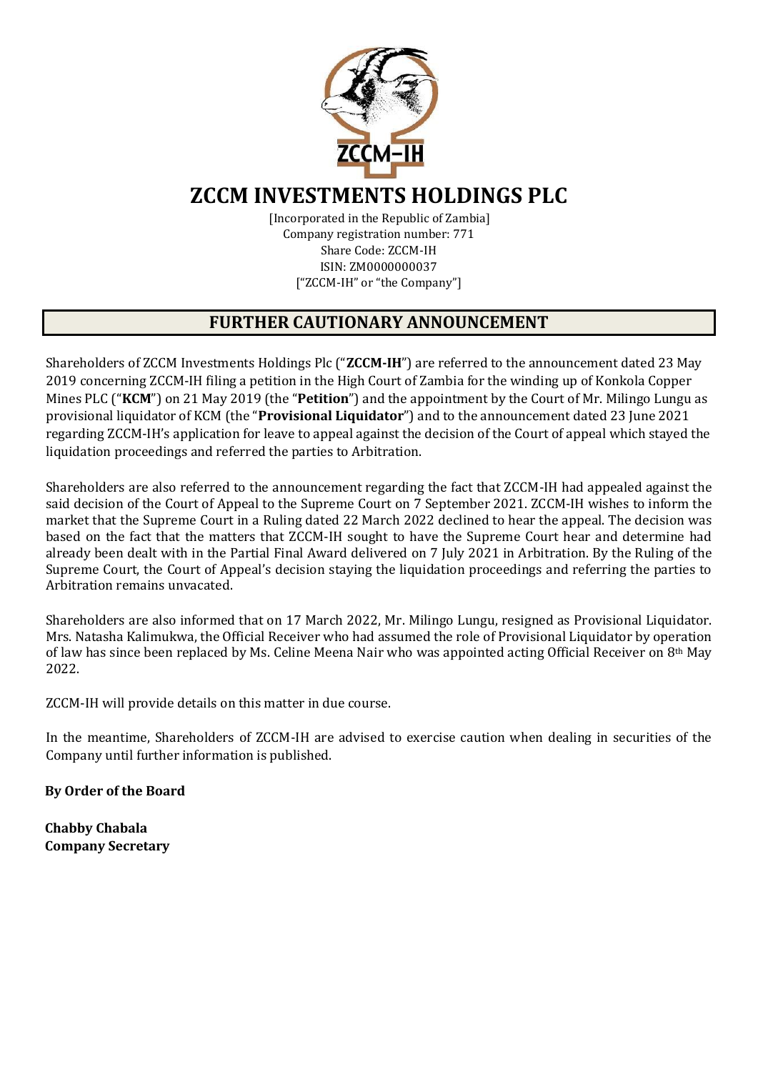

# **ZCCM INVESTMENTS HOLDINGS PLC**

[Incorporated in the Republic of Zambia] Company registration number: 771 Share Code: ZCCM-IH ISIN: ZM0000000037 ["ZCCM-IH" or "the Company"]

## **FURTHER CAUTIONARY ANNOUNCEMENT**

Shareholders of ZCCM Investments Holdings Plc ("**ZCCM-IH**") are referred to the announcement dated 23 May 2019 concerning ZCCM-IH filing a petition in the High Court of Zambia for the winding up of Konkola Copper Mines PLC ("**KCM**") on 21 May 2019 (the "**Petition**") and the appointment by the Court of Mr. Milingo Lungu as provisional liquidator of KCM (the "**Provisional Liquidator**") and to the announcement dated 23 June 2021 regarding ZCCM-IH's application for leave to appeal against the decision of the Court of appeal which stayed the liquidation proceedings and referred the parties to Arbitration.

Shareholders are also referred to the announcement regarding the fact that ZCCM-IH had appealed against the said decision of the Court of Appeal to the Supreme Court on 7 September 2021. ZCCM-IH wishes to inform the market that the Supreme Court in a Ruling dated 22 March 2022 declined to hear the appeal. The decision was based on the fact that the matters that ZCCM-IH sought to have the Supreme Court hear and determine had already been dealt with in the Partial Final Award delivered on 7 July 2021 in Arbitration. By the Ruling of the Supreme Court, the Court of Appeal's decision staying the liquidation proceedings and referring the parties to Arbitration remains unvacated.

Shareholders are also informed that on 17 March 2022, Mr. Milingo Lungu, resigned as Provisional Liquidator. Mrs. Natasha Kalimukwa, the Official Receiver who had assumed the role of Provisional Liquidator by operation of law has since been replaced by Ms. Celine Meena Nair who was appointed acting Official Receiver on 8th May 2022.

ZCCM-IH will provide details on this matter in due course.

In the meantime, Shareholders of ZCCM-IH are advised to exercise caution when dealing in securities of the Company until further information is published.

**By Order of the Board** 

**Chabby Chabala Company Secretary**